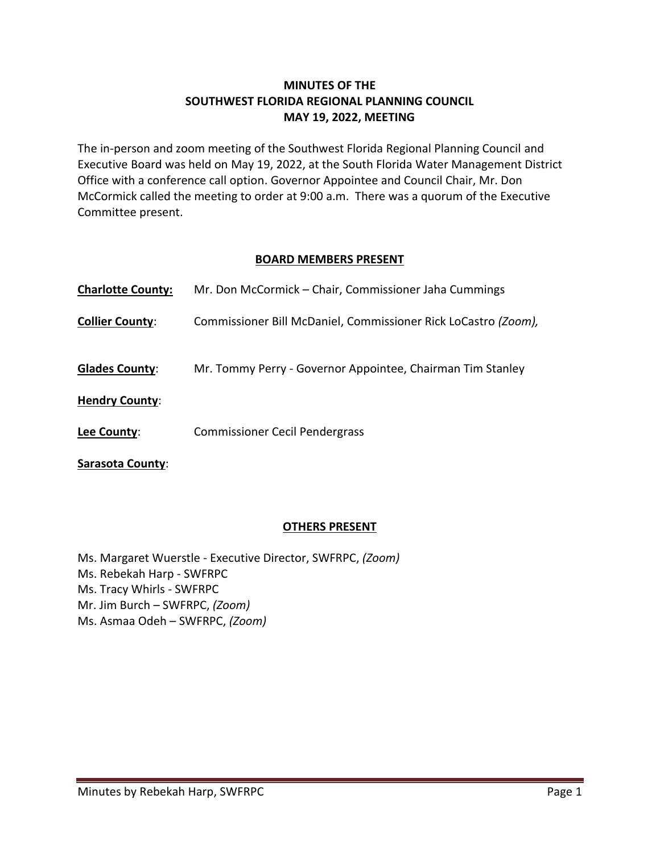### **MINUTES OF THE SOUTHWEST FLORIDA REGIONAL PLANNING COUNCIL MAY 19, 2022, MEETING**

The in-person and zoom meeting of the Southwest Florida Regional Planning Council and Executive Board was held on May 19, 2022, at the South Florida Water Management District Office with a conference call option. Governor Appointee and Council Chair, Mr. Don McCormick called the meeting to order at 9:00 a.m. There was a quorum of the Executive Committee present.

### **BOARD MEMBERS PRESENT**

| <b>Charlotte County:</b> | Mr. Don McCormick – Chair, Commissioner Jaha Cummings          |
|--------------------------|----------------------------------------------------------------|
| <b>Collier County:</b>   | Commissioner Bill McDaniel, Commissioner Rick LoCastro (Zoom), |
| <b>Glades County:</b>    | Mr. Tommy Perry - Governor Appointee, Chairman Tim Stanley     |
| <b>Hendry County:</b>    |                                                                |
| Lee County:              | <b>Commissioner Cecil Pendergrass</b>                          |
| Sarasota County:         |                                                                |

#### **OTHERS PRESENT**

Ms. Margaret Wuerstle - Executive Director, SWFRPC, *(Zoom)* Ms. Rebekah Harp - SWFRPC Ms. Tracy Whirls - SWFRPC Mr. Jim Burch – SWFRPC, *(Zoom)* Ms. Asmaa Odeh – SWFRPC, *(Zoom)*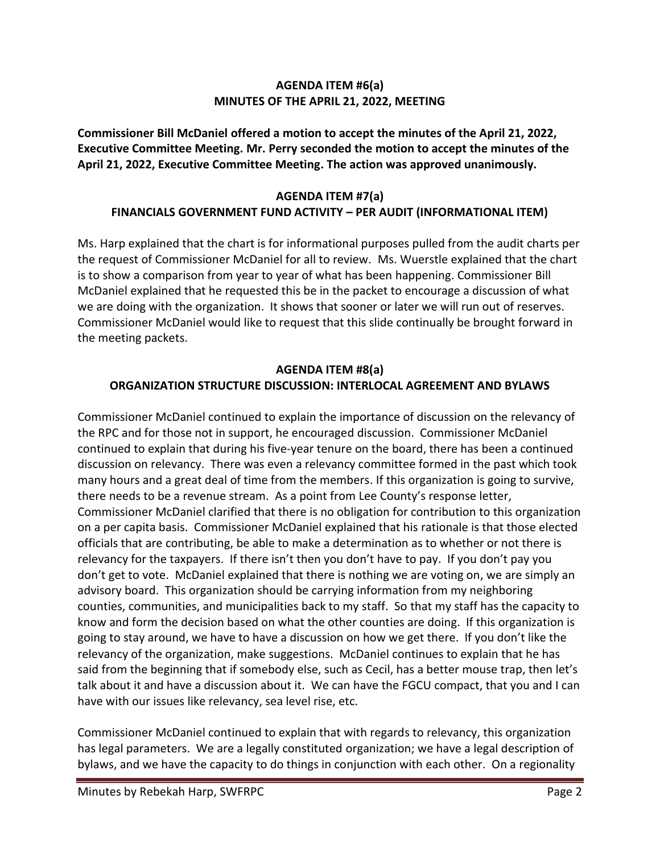#### **AGENDA ITEM #6(a) MINUTES OF THE APRIL 21, 2022, MEETING**

**Commissioner Bill McDaniel offered a motion to accept the minutes of the April 21, 2022, Executive Committee Meeting. Mr. Perry seconded the motion to accept the minutes of the April 21, 2022, Executive Committee Meeting. The action was approved unanimously.** 

# **AGENDA ITEM #7(a) FINANCIALS GOVERNMENT FUND ACTIVITY – PER AUDIT (INFORMATIONAL ITEM)**

Ms. Harp explained that the chart is for informational purposes pulled from the audit charts per the request of Commissioner McDaniel for all to review. Ms. Wuerstle explained that the chart is to show a comparison from year to year of what has been happening. Commissioner Bill McDaniel explained that he requested this be in the packet to encourage a discussion of what we are doing with the organization. It shows that sooner or later we will run out of reserves. Commissioner McDaniel would like to request that this slide continually be brought forward in the meeting packets.

# **AGENDA ITEM #8(a) ORGANIZATION STRUCTURE DISCUSSION: INTERLOCAL AGREEMENT AND BYLAWS**

Commissioner McDaniel continued to explain the importance of discussion on the relevancy of the RPC and for those not in support, he encouraged discussion. Commissioner McDaniel continued to explain that during his five-year tenure on the board, there has been a continued discussion on relevancy. There was even a relevancy committee formed in the past which took many hours and a great deal of time from the members. If this organization is going to survive, there needs to be a revenue stream. As a point from Lee County's response letter, Commissioner McDaniel clarified that there is no obligation for contribution to this organization on a per capita basis. Commissioner McDaniel explained that his rationale is that those elected officials that are contributing, be able to make a determination as to whether or not there is relevancy for the taxpayers. If there isn't then you don't have to pay. If you don't pay you don't get to vote. McDaniel explained that there is nothing we are voting on, we are simply an advisory board. This organization should be carrying information from my neighboring counties, communities, and municipalities back to my staff. So that my staff has the capacity to know and form the decision based on what the other counties are doing. If this organization is going to stay around, we have to have a discussion on how we get there. If you don't like the relevancy of the organization, make suggestions. McDaniel continues to explain that he has said from the beginning that if somebody else, such as Cecil, has a better mouse trap, then let's talk about it and have a discussion about it. We can have the FGCU compact, that you and I can have with our issues like relevancy, sea level rise, etc.

Commissioner McDaniel continued to explain that with regards to relevancy, this organization has legal parameters. We are a legally constituted organization; we have a legal description of bylaws, and we have the capacity to do things in conjunction with each other. On a regionality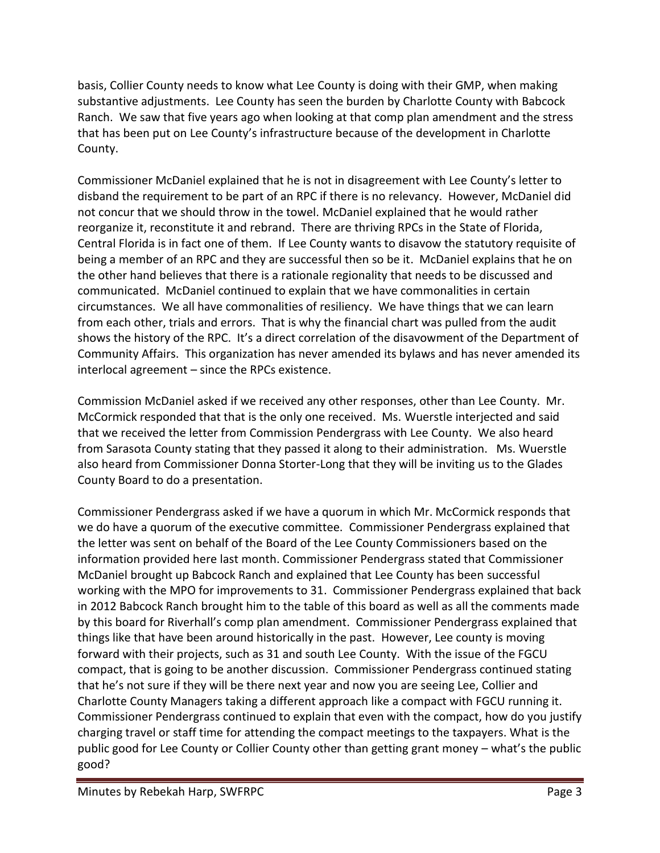basis, Collier County needs to know what Lee County is doing with their GMP, when making substantive adjustments. Lee County has seen the burden by Charlotte County with Babcock Ranch. We saw that five years ago when looking at that comp plan amendment and the stress that has been put on Lee County's infrastructure because of the development in Charlotte County.

Commissioner McDaniel explained that he is not in disagreement with Lee County's letter to disband the requirement to be part of an RPC if there is no relevancy. However, McDaniel did not concur that we should throw in the towel. McDaniel explained that he would rather reorganize it, reconstitute it and rebrand. There are thriving RPCs in the State of Florida, Central Florida is in fact one of them. If Lee County wants to disavow the statutory requisite of being a member of an RPC and they are successful then so be it. McDaniel explains that he on the other hand believes that there is a rationale regionality that needs to be discussed and communicated. McDaniel continued to explain that we have commonalities in certain circumstances. We all have commonalities of resiliency. We have things that we can learn from each other, trials and errors. That is why the financial chart was pulled from the audit shows the history of the RPC. It's a direct correlation of the disavowment of the Department of Community Affairs. This organization has never amended its bylaws and has never amended its interlocal agreement – since the RPCs existence.

Commission McDaniel asked if we received any other responses, other than Lee County. Mr. McCormick responded that that is the only one received. Ms. Wuerstle interjected and said that we received the letter from Commission Pendergrass with Lee County. We also heard from Sarasota County stating that they passed it along to their administration. Ms. Wuerstle also heard from Commissioner Donna Storter-Long that they will be inviting us to the Glades County Board to do a presentation.

Commissioner Pendergrass asked if we have a quorum in which Mr. McCormick responds that we do have a quorum of the executive committee. Commissioner Pendergrass explained that the letter was sent on behalf of the Board of the Lee County Commissioners based on the information provided here last month. Commissioner Pendergrass stated that Commissioner McDaniel brought up Babcock Ranch and explained that Lee County has been successful working with the MPO for improvements to 31. Commissioner Pendergrass explained that back in 2012 Babcock Ranch brought him to the table of this board as well as all the comments made by this board for Riverhall's comp plan amendment. Commissioner Pendergrass explained that things like that have been around historically in the past. However, Lee county is moving forward with their projects, such as 31 and south Lee County. With the issue of the FGCU compact, that is going to be another discussion. Commissioner Pendergrass continued stating that he's not sure if they will be there next year and now you are seeing Lee, Collier and Charlotte County Managers taking a different approach like a compact with FGCU running it. Commissioner Pendergrass continued to explain that even with the compact, how do you justify charging travel or staff time for attending the compact meetings to the taxpayers. What is the public good for Lee County or Collier County other than getting grant money – what's the public good?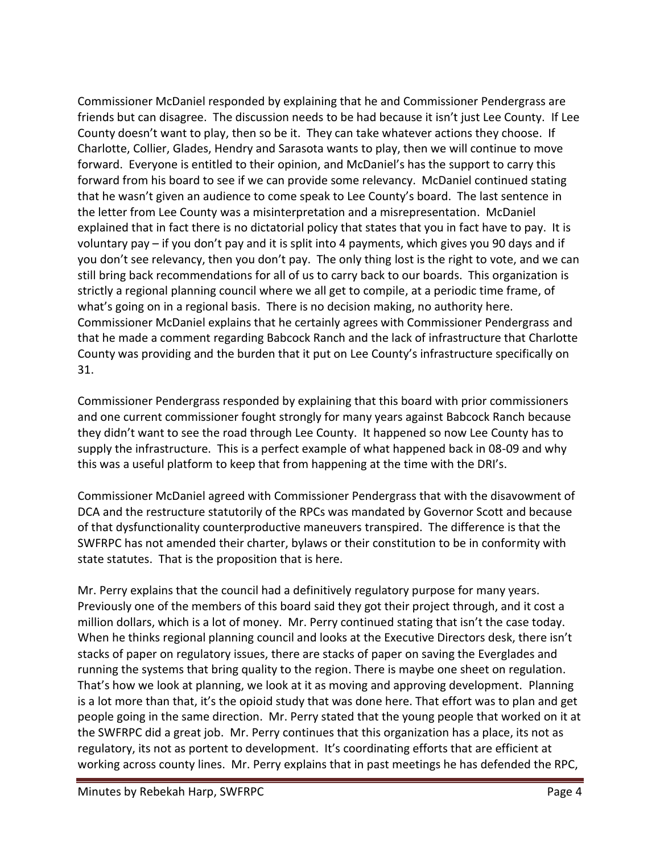Commissioner McDaniel responded by explaining that he and Commissioner Pendergrass are friends but can disagree. The discussion needs to be had because it isn't just Lee County. If Lee County doesn't want to play, then so be it. They can take whatever actions they choose. If Charlotte, Collier, Glades, Hendry and Sarasota wants to play, then we will continue to move forward. Everyone is entitled to their opinion, and McDaniel's has the support to carry this forward from his board to see if we can provide some relevancy. McDaniel continued stating that he wasn't given an audience to come speak to Lee County's board. The last sentence in the letter from Lee County was a misinterpretation and a misrepresentation. McDaniel explained that in fact there is no dictatorial policy that states that you in fact have to pay. It is voluntary pay – if you don't pay and it is split into 4 payments, which gives you 90 days and if you don't see relevancy, then you don't pay. The only thing lost is the right to vote, and we can still bring back recommendations for all of us to carry back to our boards. This organization is strictly a regional planning council where we all get to compile, at a periodic time frame, of what's going on in a regional basis. There is no decision making, no authority here. Commissioner McDaniel explains that he certainly agrees with Commissioner Pendergrass and that he made a comment regarding Babcock Ranch and the lack of infrastructure that Charlotte County was providing and the burden that it put on Lee County's infrastructure specifically on 31.

Commissioner Pendergrass responded by explaining that this board with prior commissioners and one current commissioner fought strongly for many years against Babcock Ranch because they didn't want to see the road through Lee County. It happened so now Lee County has to supply the infrastructure. This is a perfect example of what happened back in 08-09 and why this was a useful platform to keep that from happening at the time with the DRI's.

Commissioner McDaniel agreed with Commissioner Pendergrass that with the disavowment of DCA and the restructure statutorily of the RPCs was mandated by Governor Scott and because of that dysfunctionality counterproductive maneuvers transpired. The difference is that the SWFRPC has not amended their charter, bylaws or their constitution to be in conformity with state statutes. That is the proposition that is here.

Mr. Perry explains that the council had a definitively regulatory purpose for many years. Previously one of the members of this board said they got their project through, and it cost a million dollars, which is a lot of money. Mr. Perry continued stating that isn't the case today. When he thinks regional planning council and looks at the Executive Directors desk, there isn't stacks of paper on regulatory issues, there are stacks of paper on saving the Everglades and running the systems that bring quality to the region. There is maybe one sheet on regulation. That's how we look at planning, we look at it as moving and approving development. Planning is a lot more than that, it's the opioid study that was done here. That effort was to plan and get people going in the same direction. Mr. Perry stated that the young people that worked on it at the SWFRPC did a great job. Mr. Perry continues that this organization has a place, its not as regulatory, its not as portent to development. It's coordinating efforts that are efficient at working across county lines. Mr. Perry explains that in past meetings he has defended the RPC,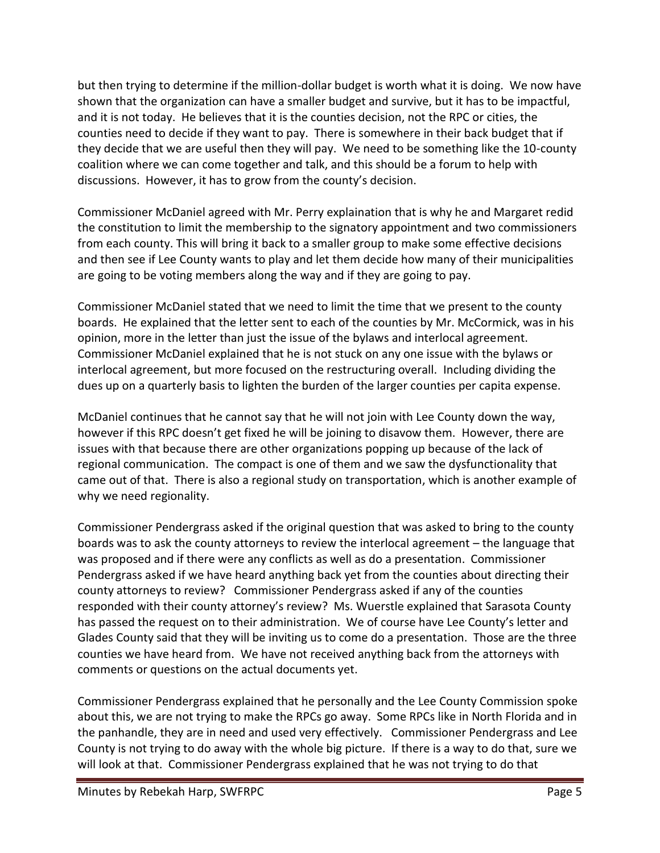but then trying to determine if the million-dollar budget is worth what it is doing. We now have shown that the organization can have a smaller budget and survive, but it has to be impactful, and it is not today. He believes that it is the counties decision, not the RPC or cities, the counties need to decide if they want to pay. There is somewhere in their back budget that if they decide that we are useful then they will pay. We need to be something like the 10-county coalition where we can come together and talk, and this should be a forum to help with discussions. However, it has to grow from the county's decision.

Commissioner McDaniel agreed with Mr. Perry explaination that is why he and Margaret redid the constitution to limit the membership to the signatory appointment and two commissioners from each county. This will bring it back to a smaller group to make some effective decisions and then see if Lee County wants to play and let them decide how many of their municipalities are going to be voting members along the way and if they are going to pay.

Commissioner McDaniel stated that we need to limit the time that we present to the county boards. He explained that the letter sent to each of the counties by Mr. McCormick, was in his opinion, more in the letter than just the issue of the bylaws and interlocal agreement. Commissioner McDaniel explained that he is not stuck on any one issue with the bylaws or interlocal agreement, but more focused on the restructuring overall. Including dividing the dues up on a quarterly basis to lighten the burden of the larger counties per capita expense.

McDaniel continues that he cannot say that he will not join with Lee County down the way, however if this RPC doesn't get fixed he will be joining to disavow them. However, there are issues with that because there are other organizations popping up because of the lack of regional communication. The compact is one of them and we saw the dysfunctionality that came out of that. There is also a regional study on transportation, which is another example of why we need regionality.

Commissioner Pendergrass asked if the original question that was asked to bring to the county boards was to ask the county attorneys to review the interlocal agreement – the language that was proposed and if there were any conflicts as well as do a presentation. Commissioner Pendergrass asked if we have heard anything back yet from the counties about directing their county attorneys to review? Commissioner Pendergrass asked if any of the counties responded with their county attorney's review? Ms. Wuerstle explained that Sarasota County has passed the request on to their administration. We of course have Lee County's letter and Glades County said that they will be inviting us to come do a presentation. Those are the three counties we have heard from. We have not received anything back from the attorneys with comments or questions on the actual documents yet.

Commissioner Pendergrass explained that he personally and the Lee County Commission spoke about this, we are not trying to make the RPCs go away. Some RPCs like in North Florida and in the panhandle, they are in need and used very effectively. Commissioner Pendergrass and Lee County is not trying to do away with the whole big picture. If there is a way to do that, sure we will look at that. Commissioner Pendergrass explained that he was not trying to do that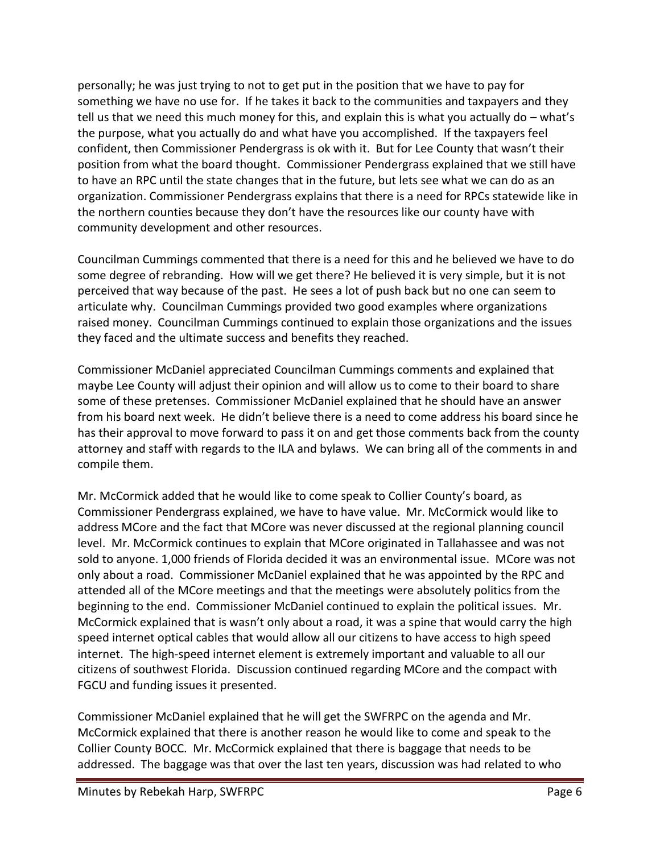personally; he was just trying to not to get put in the position that we have to pay for something we have no use for. If he takes it back to the communities and taxpayers and they tell us that we need this much money for this, and explain this is what you actually do – what's the purpose, what you actually do and what have you accomplished. If the taxpayers feel confident, then Commissioner Pendergrass is ok with it. But for Lee County that wasn't their position from what the board thought. Commissioner Pendergrass explained that we still have to have an RPC until the state changes that in the future, but lets see what we can do as an organization. Commissioner Pendergrass explains that there is a need for RPCs statewide like in the northern counties because they don't have the resources like our county have with community development and other resources.

Councilman Cummings commented that there is a need for this and he believed we have to do some degree of rebranding. How will we get there? He believed it is very simple, but it is not perceived that way because of the past. He sees a lot of push back but no one can seem to articulate why. Councilman Cummings provided two good examples where organizations raised money. Councilman Cummings continued to explain those organizations and the issues they faced and the ultimate success and benefits they reached.

Commissioner McDaniel appreciated Councilman Cummings comments and explained that maybe Lee County will adjust their opinion and will allow us to come to their board to share some of these pretenses. Commissioner McDaniel explained that he should have an answer from his board next week. He didn't believe there is a need to come address his board since he has their approval to move forward to pass it on and get those comments back from the county attorney and staff with regards to the ILA and bylaws. We can bring all of the comments in and compile them.

Mr. McCormick added that he would like to come speak to Collier County's board, as Commissioner Pendergrass explained, we have to have value. Mr. McCormick would like to address MCore and the fact that MCore was never discussed at the regional planning council level. Mr. McCormick continues to explain that MCore originated in Tallahassee and was not sold to anyone. 1,000 friends of Florida decided it was an environmental issue. MCore was not only about a road. Commissioner McDaniel explained that he was appointed by the RPC and attended all of the MCore meetings and that the meetings were absolutely politics from the beginning to the end. Commissioner McDaniel continued to explain the political issues. Mr. McCormick explained that is wasn't only about a road, it was a spine that would carry the high speed internet optical cables that would allow all our citizens to have access to high speed internet. The high-speed internet element is extremely important and valuable to all our citizens of southwest Florida. Discussion continued regarding MCore and the compact with FGCU and funding issues it presented.

Commissioner McDaniel explained that he will get the SWFRPC on the agenda and Mr. McCormick explained that there is another reason he would like to come and speak to the Collier County BOCC. Mr. McCormick explained that there is baggage that needs to be addressed. The baggage was that over the last ten years, discussion was had related to who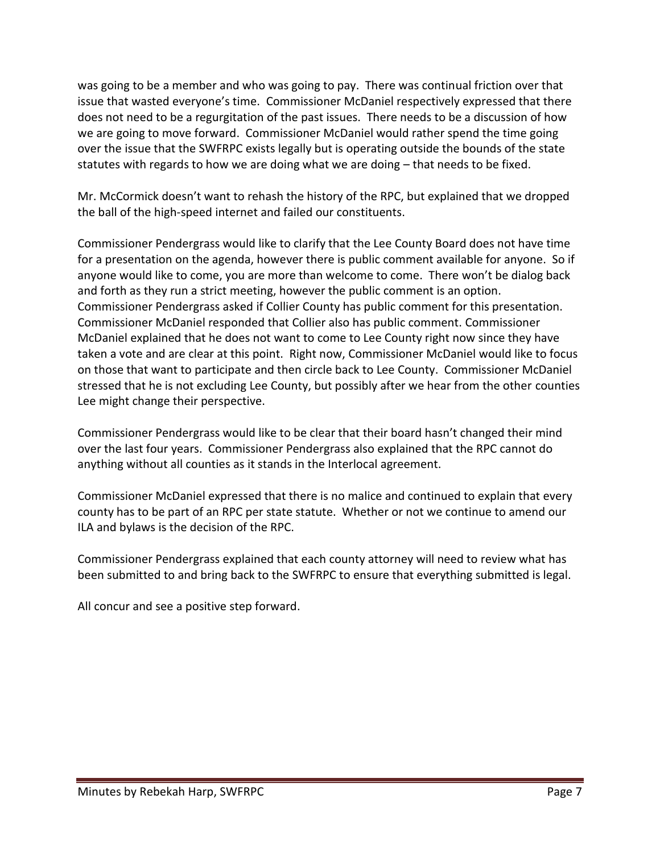was going to be a member and who was going to pay. There was continual friction over that issue that wasted everyone's time. Commissioner McDaniel respectively expressed that there does not need to be a regurgitation of the past issues. There needs to be a discussion of how we are going to move forward. Commissioner McDaniel would rather spend the time going over the issue that the SWFRPC exists legally but is operating outside the bounds of the state statutes with regards to how we are doing what we are doing – that needs to be fixed.

Mr. McCormick doesn't want to rehash the history of the RPC, but explained that we dropped the ball of the high-speed internet and failed our constituents.

Commissioner Pendergrass would like to clarify that the Lee County Board does not have time for a presentation on the agenda, however there is public comment available for anyone. So if anyone would like to come, you are more than welcome to come. There won't be dialog back and forth as they run a strict meeting, however the public comment is an option. Commissioner Pendergrass asked if Collier County has public comment for this presentation. Commissioner McDaniel responded that Collier also has public comment. Commissioner McDaniel explained that he does not want to come to Lee County right now since they have taken a vote and are clear at this point. Right now, Commissioner McDaniel would like to focus on those that want to participate and then circle back to Lee County. Commissioner McDaniel stressed that he is not excluding Lee County, but possibly after we hear from the other counties Lee might change their perspective.

Commissioner Pendergrass would like to be clear that their board hasn't changed their mind over the last four years. Commissioner Pendergrass also explained that the RPC cannot do anything without all counties as it stands in the Interlocal agreement.

Commissioner McDaniel expressed that there is no malice and continued to explain that every county has to be part of an RPC per state statute. Whether or not we continue to amend our ILA and bylaws is the decision of the RPC.

Commissioner Pendergrass explained that each county attorney will need to review what has been submitted to and bring back to the SWFRPC to ensure that everything submitted is legal.

All concur and see a positive step forward.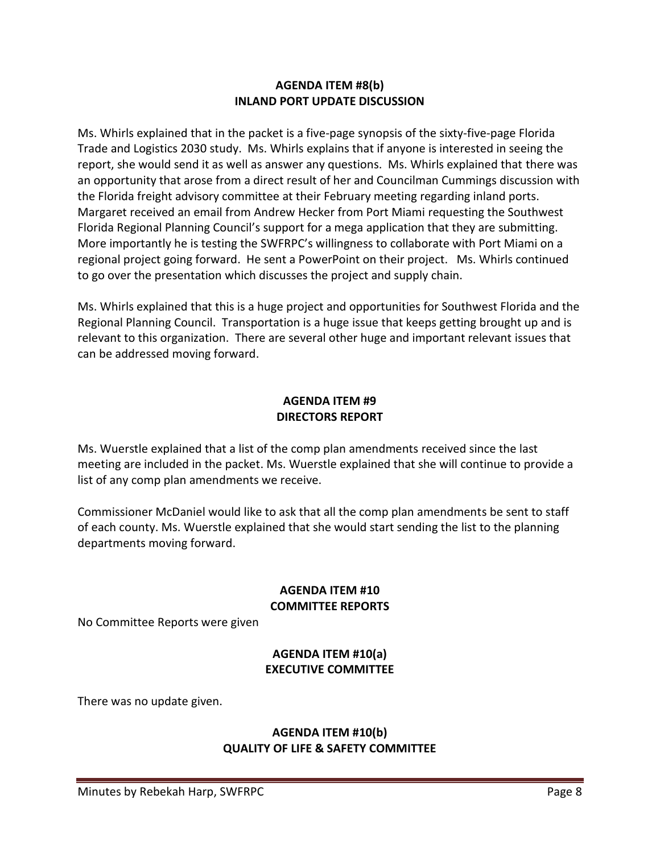#### **AGENDA ITEM #8(b) INLAND PORT UPDATE DISCUSSION**

Ms. Whirls explained that in the packet is a five-page synopsis of the sixty-five-page Florida Trade and Logistics 2030 study. Ms. Whirls explains that if anyone is interested in seeing the report, she would send it as well as answer any questions. Ms. Whirls explained that there was an opportunity that arose from a direct result of her and Councilman Cummings discussion with the Florida freight advisory committee at their February meeting regarding inland ports. Margaret received an email from Andrew Hecker from Port Miami requesting the Southwest Florida Regional Planning Council's support for a mega application that they are submitting. More importantly he is testing the SWFRPC's willingness to collaborate with Port Miami on a regional project going forward. He sent a PowerPoint on their project. Ms. Whirls continued to go over the presentation which discusses the project and supply chain.

Ms. Whirls explained that this is a huge project and opportunities for Southwest Florida and the Regional Planning Council. Transportation is a huge issue that keeps getting brought up and is relevant to this organization. There are several other huge and important relevant issues that can be addressed moving forward.

#### **AGENDA ITEM #9 DIRECTORS REPORT**

Ms. Wuerstle explained that a list of the comp plan amendments received since the last meeting are included in the packet. Ms. Wuerstle explained that she will continue to provide a list of any comp plan amendments we receive.

Commissioner McDaniel would like to ask that all the comp plan amendments be sent to staff of each county. Ms. Wuerstle explained that she would start sending the list to the planning departments moving forward.

## **AGENDA ITEM #10 COMMITTEE REPORTS**

No Committee Reports were given

## **AGENDA ITEM #10(a) EXECUTIVE COMMITTEE**

There was no update given.

### **AGENDA ITEM #10(b) QUALITY OF LIFE & SAFETY COMMITTEE**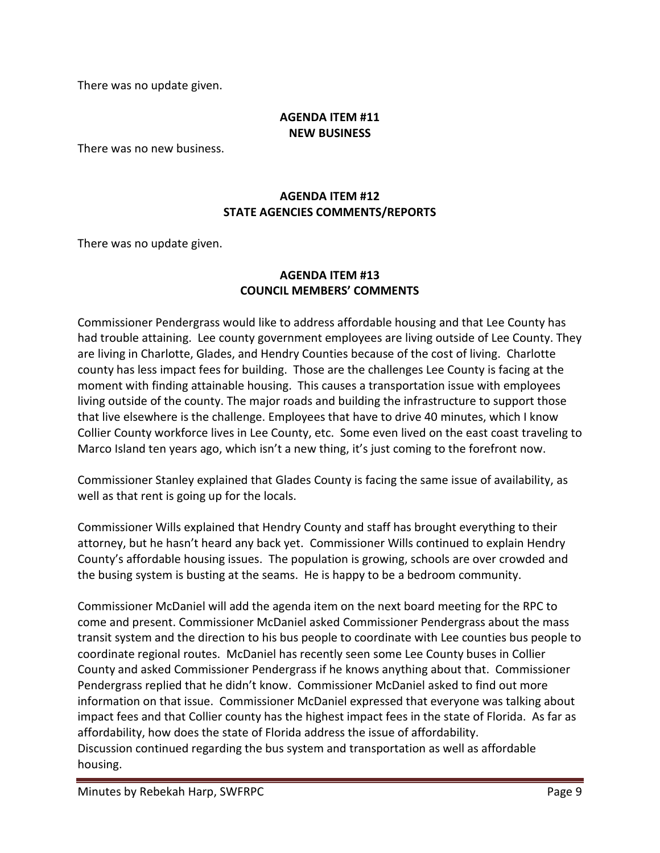There was no update given.

### **AGENDA ITEM #11 NEW BUSINESS**

There was no new business.

# **AGENDA ITEM #12 STATE AGENCIES COMMENTS/REPORTS**

There was no update given.

## **AGENDA ITEM #13 COUNCIL MEMBERS' COMMENTS**

Commissioner Pendergrass would like to address affordable housing and that Lee County has had trouble attaining. Lee county government employees are living outside of Lee County. They are living in Charlotte, Glades, and Hendry Counties because of the cost of living. Charlotte county has less impact fees for building. Those are the challenges Lee County is facing at the moment with finding attainable housing. This causes a transportation issue with employees living outside of the county. The major roads and building the infrastructure to support those that live elsewhere is the challenge. Employees that have to drive 40 minutes, which I know Collier County workforce lives in Lee County, etc. Some even lived on the east coast traveling to Marco Island ten years ago, which isn't a new thing, it's just coming to the forefront now.

Commissioner Stanley explained that Glades County is facing the same issue of availability, as well as that rent is going up for the locals.

Commissioner Wills explained that Hendry County and staff has brought everything to their attorney, but he hasn't heard any back yet. Commissioner Wills continued to explain Hendry County's affordable housing issues. The population is growing, schools are over crowded and the busing system is busting at the seams. He is happy to be a bedroom community.

Commissioner McDaniel will add the agenda item on the next board meeting for the RPC to come and present. Commissioner McDaniel asked Commissioner Pendergrass about the mass transit system and the direction to his bus people to coordinate with Lee counties bus people to coordinate regional routes. McDaniel has recently seen some Lee County buses in Collier County and asked Commissioner Pendergrass if he knows anything about that. Commissioner Pendergrass replied that he didn't know. Commissioner McDaniel asked to find out more information on that issue. Commissioner McDaniel expressed that everyone was talking about impact fees and that Collier county has the highest impact fees in the state of Florida. As far as affordability, how does the state of Florida address the issue of affordability. Discussion continued regarding the bus system and transportation as well as affordable housing.